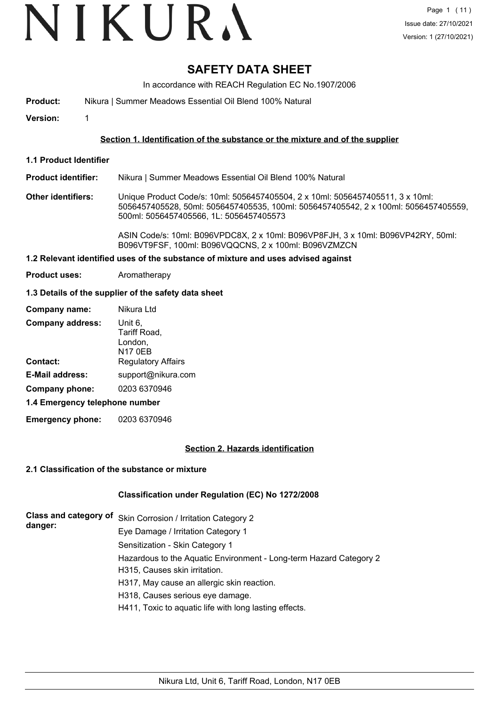# VIKURA

## **SAFETY DATA SHEET**

In accordance with REACH Regulation EC No.1907/2006

**Product:** Nikura | Summer Meadows Essential Oil Blend 100% Natural

**Version:** 1

#### **Section 1. Identification of the substance or the mixture and of the supplier**

**1.1 Product Identifier**

**Product identifier:** Nikura | Summer Meadows Essential Oil Blend 100% Natural

**Other identifiers:** Unique Product Code/s: 10ml: 5056457405504, 2 x 10ml: 5056457405511, 3 x 10ml: 5056457405528, 50ml: 5056457405535, 100ml: 5056457405542, 2 x 100ml: 5056457405559, 500ml: 5056457405566, 1L: 5056457405573

> ASIN Code/s: 10ml: B096VPDC8X, 2 x 10ml: B096VP8FJH, 3 x 10ml: B096VP42RY, 50ml: B096VT9FSF, 100ml: B096VQQCNS, 2 x 100ml: B096VZMZCN

#### **1.2 Relevant identified uses of the substance of mixture and uses advised against**

**Product uses:** Aromatherapy

#### **1.3 Details of the supplier of the safety data sheet**

| Company name:                  | Nikura Ltd                                           |
|--------------------------------|------------------------------------------------------|
| <b>Company address:</b>        | Unit 6,<br>Tariff Road,<br>London,<br><b>N17 0EB</b> |
| <b>Contact:</b>                | <b>Regulatory Affairs</b>                            |
| <b>E-Mail address:</b>         | support@nikura.com                                   |
| Company phone:                 | 0203 6370946                                         |
| 1.4 Emergency telephone number |                                                      |

**Emergency phone:** 0203 6370946

#### **Section 2. Hazards identification**

### **2.1 Classification of the substance or mixture**

#### **Classification under Regulation (EC) No 1272/2008**

| danger: | Class and category of Skin Corrosion / Irritation Category 2       |
|---------|--------------------------------------------------------------------|
|         | Eye Damage / Irritation Category 1                                 |
|         | Sensitization - Skin Category 1                                    |
|         | Hazardous to the Aquatic Environment - Long-term Hazard Category 2 |
|         | H315, Causes skin irritation.                                      |
|         | H317, May cause an allergic skin reaction.                         |
|         | H318, Causes serious eye damage.                                   |
|         | H411, Toxic to aquatic life with long lasting effects.             |
|         |                                                                    |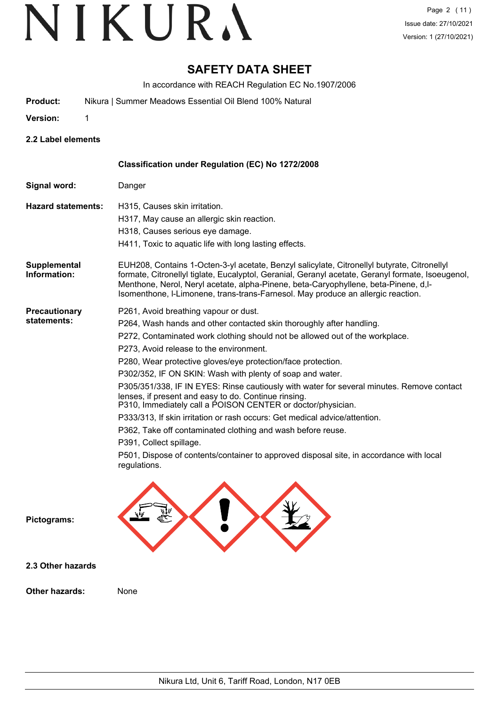## **SAFETY DATA SHEET**

In accordance with REACH Regulation EC No.1907/2006

- **Product:** Nikura | Summer Meadows Essential Oil Blend 100% Natural
- **Version:** 1

**2.2 Label elements**

|                                     | Classification under Regulation (EC) No 1272/2008                                                                                                                                                                                                                                                                                                                                                                                                                                                                                                                                                                                                                                                                                                                                                                                                                            |
|-------------------------------------|------------------------------------------------------------------------------------------------------------------------------------------------------------------------------------------------------------------------------------------------------------------------------------------------------------------------------------------------------------------------------------------------------------------------------------------------------------------------------------------------------------------------------------------------------------------------------------------------------------------------------------------------------------------------------------------------------------------------------------------------------------------------------------------------------------------------------------------------------------------------------|
| Signal word:                        | Danger                                                                                                                                                                                                                                                                                                                                                                                                                                                                                                                                                                                                                                                                                                                                                                                                                                                                       |
| <b>Hazard statements:</b>           | H315, Causes skin irritation.<br>H317, May cause an allergic skin reaction.<br>H318, Causes serious eye damage.<br>H411, Toxic to aquatic life with long lasting effects.                                                                                                                                                                                                                                                                                                                                                                                                                                                                                                                                                                                                                                                                                                    |
| <b>Supplemental</b><br>Information: | EUH208, Contains 1-Octen-3-yl acetate, Benzyl salicylate, Citronellyl butyrate, Citronellyl<br>formate, Citronellyl tiglate, Eucalyptol, Geranial, Geranyl acetate, Geranyl formate, Isoeugenol,<br>Menthone, Nerol, Neryl acetate, alpha-Pinene, beta-Caryophyllene, beta-Pinene, d,l-<br>Isomenthone, I-Limonene, trans-trans-Farnesol. May produce an allergic reaction.                                                                                                                                                                                                                                                                                                                                                                                                                                                                                                  |
| <b>Precautionary</b><br>statements: | P261, Avoid breathing vapour or dust.<br>P264, Wash hands and other contacted skin thoroughly after handling.<br>P272, Contaminated work clothing should not be allowed out of the workplace.<br>P273, Avoid release to the environment.<br>P280, Wear protective gloves/eye protection/face protection.<br>P302/352, IF ON SKIN: Wash with plenty of soap and water.<br>P305/351/338, IF IN EYES: Rinse cautiously with water for several minutes. Remove contact<br>lenses, if present and easy to do. Continue rinsing.<br>P310, Immediately call a POISON CENTER or doctor/physician.<br>P333/313, If skin irritation or rash occurs: Get medical advice/attention.<br>P362, Take off contaminated clothing and wash before reuse.<br>P391, Collect spillage.<br>P501, Dispose of contents/container to approved disposal site, in accordance with local<br>regulations. |
| Pictograms:                         |                                                                                                                                                                                                                                                                                                                                                                                                                                                                                                                                                                                                                                                                                                                                                                                                                                                                              |
| 2.3 Other hazards                   |                                                                                                                                                                                                                                                                                                                                                                                                                                                                                                                                                                                                                                                                                                                                                                                                                                                                              |
| Other hazards:                      | None                                                                                                                                                                                                                                                                                                                                                                                                                                                                                                                                                                                                                                                                                                                                                                                                                                                                         |
|                                     |                                                                                                                                                                                                                                                                                                                                                                                                                                                                                                                                                                                                                                                                                                                                                                                                                                                                              |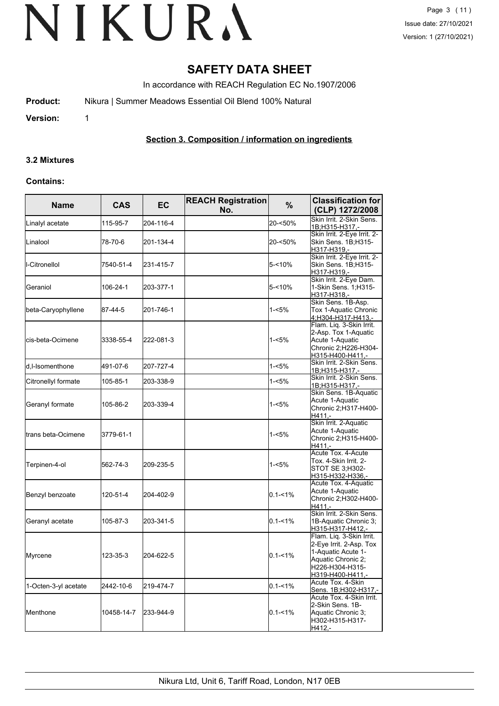## **SAFETY DATA SHEET**

In accordance with REACH Regulation EC No.1907/2006

**Product:** Nikura | Summer Meadows Essential Oil Blend 100% Natural

**Version:** 1

### **Section 3. Composition / information on ingredients**

#### **3.2 Mixtures**

#### **Contains:**

| <b>Name</b>          | <b>CAS</b> | EC        | <b>REACH Registration</b><br>No. | %           |                                                                                                                                        |
|----------------------|------------|-----------|----------------------------------|-------------|----------------------------------------------------------------------------------------------------------------------------------------|
| Linalyl acetate      | 115-95-7   | 204-116-4 |                                  | 20-<50%     | Skin Irrit, 2-Skin Sens,<br>1B;H315-H317 -                                                                                             |
| Linalool             | 78-70-6    | 201-134-4 |                                  | 20-<50%     | Skin Irrit. 2-Eye Irrit. 2-<br>Skin Sens. 1B;H315-<br>H317-H319,-                                                                      |
| l-Citronellol        | 7540-51-4  | 231-415-7 |                                  | 5-<10%      | Skin Irrit. 2-Eye Irrit. 2-<br>Skin Sens. 1B:H315-<br>H317-H319,-                                                                      |
| Geraniol             | 106-24-1   | 203-377-1 |                                  | 5-<10%      | Skin Irrit. 2-Eye Dam.<br>1-Skin Sens. 1;H315-<br>H317-H318,-                                                                          |
| beta-Caryophyllene   | 87-44-5    | 201-746-1 |                                  | $1 - 5%$    | Skin Sens. 1B-Asp.<br>Tox 1-Aquatic Chronic<br>4;H304-H317-H413,-                                                                      |
| cis-beta-Ocimene     | 3338-55-4  | 222-081-3 |                                  | 1-<5%       | Flam. Liq. 3-Skin Irrit.<br>2-Asp. Tox 1-Aquatic<br>Acute 1-Aquatic<br>Chronic 2;H226-H304-<br>H315-H400-H411,-                        |
| d,I-Isomenthone      | 491-07-6   | 207-727-4 |                                  | $1 - 5%$    | Skin Irrit. 2-Skin Sens.<br><u>1B;H315-H317,-</u>                                                                                      |
| Citronellyl formate  | 105-85-1   | 203-338-9 |                                  | $1 - 5%$    | Skin Irrit. 2-Skin Sens.<br>1B;H315-H317.-                                                                                             |
| Geranyl formate      | 105-86-2   | 203-339-4 |                                  | 1-<5%       | Skin Sens. 1B-Aquatic<br>Acute 1-Aquatic<br>Chronic 2;H317-H400-<br>H411.-                                                             |
| trans beta-Ocimene   | 3779-61-1  |           |                                  | $1 - 5%$    | Skin Irrit. 2-Aquatic<br>Acute 1-Aquatic<br>Chronic 2;H315-H400-<br>H411.-                                                             |
| Terpinen-4-ol        | 562-74-3   | 209-235-5 |                                  | $1 - 5%$    | Acute Tox. 4-Acute<br>Tox. 4-Skin Irrit. 2-<br>STOT SE 3:H302-<br>H315-H332-H336,-                                                     |
| Benzyl benzoate      | 120-51-4   | 204-402-9 |                                  | $0.1 - 1\%$ | Acute Tox. 4-Aquatic<br>Acute 1-Aquatic<br>Chronic 2;H302-H400-<br>H411.-                                                              |
| Geranyl acetate      | 105-87-3   | 203-341-5 |                                  | $0.1 - 1\%$ | Skin Irrit. 2-Skin Sens.<br>1B-Aquatic Chronic 3;<br>H315-H317-H412,-                                                                  |
| Myrcene              | 123-35-3   | 204-622-5 |                                  | $0.1 - 1\%$ | Flam. Lig. 3-Skin Irrit.<br>2-Eye Irrit. 2-Asp. Tox<br>1-Aquatic Acute 1-<br>Aquatic Chronic 2;<br>H226-H304-H315-<br>H319-H400-H411,- |
| 1-Octen-3-yl acetate | 2442-10-6  | 219-474-7 |                                  | $0.1 - 1%$  | Acute Tox. 4-Skin<br>Sens. 1B;H302-H317,-                                                                                              |
| Menthone             | 10458-14-7 | 233-944-9 |                                  | $0.1 - 1\%$ | Acute Tox. 4-Skin Irrit.<br>2-Skin Sens. 1B-<br>Aquatic Chronic 3;<br>H302-H315-H317-<br>H412 -                                        |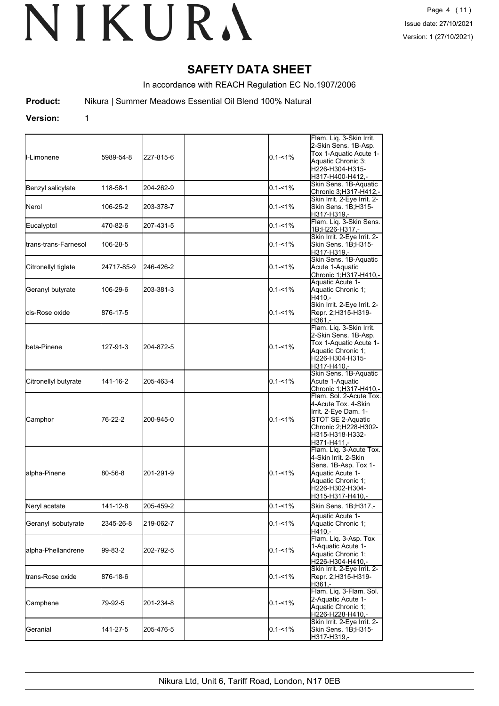## **SAFETY DATA SHEET**

In accordance with REACH Regulation EC No.1907/2006

**Product:** Nikura | Summer Meadows Essential Oil Blend 100% Natural

#### **Version:** 1

| ll-Limonene           | 5989-54-8  | 227-815-6 | $0.1 - 1\%$ | Flam. Liq. 3-Skin Irrit.<br>2-Skin Sens. 1B-Asp.<br>Tox 1-Aquatic Acute 1-<br>Aquatic Chronic 3:<br>H226-H304-H315-<br>H317-H400-H412.-                  |  |
|-----------------------|------------|-----------|-------------|----------------------------------------------------------------------------------------------------------------------------------------------------------|--|
| Benzyl salicylate     | 118-58-1   | 204-262-9 | $0.1 - 1\%$ | Skin Sens. 1B-Aquatic<br>Chronic 3;H317-H412,-                                                                                                           |  |
| <b>I</b> Nerol        | 106-25-2   | 203-378-7 | $0.1 - 1\%$ | Skin Irrit. 2-Eye Irrit. 2-<br>Skin Sens. 1B;H315-<br>H317-H319,-                                                                                        |  |
| Eucalyptol            | 470-82-6   | 207-431-5 | $0.1 - 1\%$ | Flam. Liq. 3-Skin Sens.<br>1B;H226-H317,-                                                                                                                |  |
| ltrans-trans-Farnesol | 106-28-5   |           | $0.1 - 1\%$ | Skin Irrit. 2-Eye Irrit. 2-<br>Skin Sens. 1B;H315-<br>H317-H319,-                                                                                        |  |
| Citronellyl tiglate   | 24717-85-9 | 246-426-2 | $0.1 - 1\%$ | Skin Sens. 1B-Aquatic<br>Acute 1-Aquatic<br>Chronic 1;H317-H410,-                                                                                        |  |
| Geranyl butyrate      | 106-29-6   | 203-381-3 | $0.1 - 1\%$ | Aquatic Acute 1-<br>Aquatic Chronic 1;<br>H410.-                                                                                                         |  |
| lcis-Rose oxide       | 876-17-5   |           | $0.1 - 1\%$ | Skin Irrit. 2-Eye Irrit. 2-<br>Repr. 2;H315-H319-<br>H361.-                                                                                              |  |
| Ibeta-Pinene          | 127-91-3   | 204-872-5 | $0.1 - 1\%$ | Flam. Liq. 3-Skin Irrit.<br>2-Skin Sens. 1B-Asp.<br>Tox 1-Aquatic Acute 1-<br>Aquatic Chronic 1;<br>H226-H304-H315-<br>H317-H410,-                       |  |
| Citronellyl butyrate  | 141-16-2   | 205-463-4 | $0.1 - 1\%$ | Skin Sens. 1B-Aquatic<br>Acute 1-Aquatic<br>Chronic 1;H317-H410,-                                                                                        |  |
| Camphor               | 76-22-2    | 200-945-0 | $0.1 - 1\%$ | Flam. Sol. 2-Acute Tox.<br>4-Acute Tox. 4-Skin<br>Irrit. 2-Eye Dam. 1-<br>STOT SE 2-Aquatic<br>Chronic 2;H228-H302-<br>H315-H318-H332-<br>H371-H411,-    |  |
| alpha-Pinene          | 80-56-8    | 201-291-9 | $0.1 - 1\%$ | Flam. Liq. 3-Acute Tox.<br>4-Skin Irrit. 2-Skin<br>Sens. 1B-Asp. Tox 1-<br>Aquatic Acute 1-<br>Aquatic Chronic 1;<br>H226-H302-H304-<br>H315-H317-H410,- |  |
| Neryl acetate         | 141-12-8   | 205-459-2 | $0.1 - 1%$  | Skin Sens. 1B;H317,-                                                                                                                                     |  |
| Geranyl isobutyrate   | 2345-26-8  | 219-062-7 | $0.1 - 1\%$ | Aquatic Acute 1-<br>Aquatic Chronic 1;<br>H410,-                                                                                                         |  |
| alpha-Phellandrene    | 99-83-2    | 202-792-5 | $0.1 - 1\%$ | Flam. Liq. 3-Asp. Tox<br>1-Aquatic Acute 1-<br>Aquatic Chronic 1;<br>H226-H304-H410,-                                                                    |  |
| trans-Rose oxide      | 876-18-6   |           | $0.1 - 1\%$ | Skin Irrit. 2-Eye Irrit. 2-<br>Repr. 2;H315-H319-<br>H361.-                                                                                              |  |
| Camphene              | 79-92-5    | 201-234-8 | $0.1 - 1\%$ | Flam. Liq. 3-Flam. Sol.<br>2-Aquatic Acute 1-<br>Aquatic Chronic 1;<br>H226-H228-H410,-                                                                  |  |
| Geranial              | 141-27-5   | 205-476-5 | $0.1 - 1\%$ | Skin Irrit. 2-Eye Irrit. 2-<br>Skin Sens. 1B;H315-<br>H317-H319,-                                                                                        |  |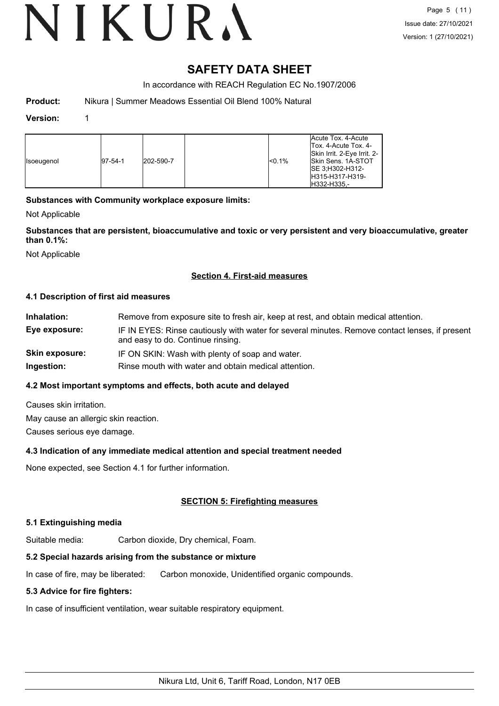# VIKURA

## **SAFETY DATA SHEET**

In accordance with REACH Regulation EC No.1907/2006

**Product:** Nikura | Summer Meadows Essential Oil Blend 100% Natural

#### **Version:** 1

| <b>I</b> soeugenol | $ 97-54-1 $ | 202-590-7 |  | <sub>0.1%</sub> | Acute Tox, 4-Acute<br>Tox. 4-Acute Tox. 4-<br>Skin Irrit. 2-Eye Irrit. 2-<br><b>Skin Sens. 1A-STOT</b><br>ISE 3:H302-H312-<br>H315-H317-H319-<br>IH332-H335.- |
|--------------------|-------------|-----------|--|-----------------|---------------------------------------------------------------------------------------------------------------------------------------------------------------|
|--------------------|-------------|-----------|--|-----------------|---------------------------------------------------------------------------------------------------------------------------------------------------------------|

### **Substances with Community workplace exposure limits:**

Not Applicable

**Substances that are persistent, bioaccumulative and toxic or very persistent and very bioaccumulative, greater than 0.1%:**

Not Applicable

#### **Section 4. First-aid measures**

#### **4.1 Description of first aid measures**

| Inhalation:    | Remove from exposure site to fresh air, keep at rest, and obtain medical attention.                                                 |
|----------------|-------------------------------------------------------------------------------------------------------------------------------------|
| Eye exposure:  | IF IN EYES: Rinse cautiously with water for several minutes. Remove contact lenses, if present<br>and easy to do. Continue rinsing. |
| Skin exposure: | IF ON SKIN: Wash with plenty of soap and water.                                                                                     |
|                |                                                                                                                                     |

## **Ingestion:** Rinse mouth with water and obtain medical attention.

#### **4.2 Most important symptoms and effects, both acute and delayed**

Causes skin irritation.

May cause an allergic skin reaction.

Causes serious eye damage.

#### **4.3 Indication of any immediate medical attention and special treatment needed**

None expected, see Section 4.1 for further information.

### **SECTION 5: Firefighting measures**

#### **5.1 Extinguishing media**

Suitable media: Carbon dioxide, Dry chemical, Foam.

### **5.2 Special hazards arising from the substance or mixture**

In case of fire, may be liberated: Carbon monoxide, Unidentified organic compounds.

### **5.3 Advice for fire fighters:**

In case of insufficient ventilation, wear suitable respiratory equipment.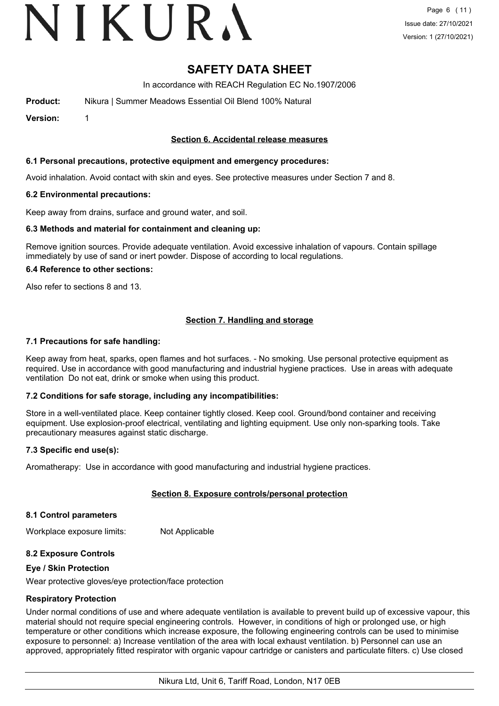# VIKURA

## **SAFETY DATA SHEET**

In accordance with REACH Regulation EC No.1907/2006

**Product:** Nikura | Summer Meadows Essential Oil Blend 100% Natural

**Version:** 1

#### **Section 6. Accidental release measures**

#### **6.1 Personal precautions, protective equipment and emergency procedures:**

Avoid inhalation. Avoid contact with skin and eyes. See protective measures under Section 7 and 8.

#### **6.2 Environmental precautions:**

Keep away from drains, surface and ground water, and soil.

#### **6.3 Methods and material for containment and cleaning up:**

Remove ignition sources. Provide adequate ventilation. Avoid excessive inhalation of vapours. Contain spillage immediately by use of sand or inert powder. Dispose of according to local regulations.

#### **6.4 Reference to other sections:**

Also refer to sections 8 and 13.

#### **Section 7. Handling and storage**

#### **7.1 Precautions for safe handling:**

Keep away from heat, sparks, open flames and hot surfaces. - No smoking. Use personal protective equipment as required. Use in accordance with good manufacturing and industrial hygiene practices. Use in areas with adequate ventilation Do not eat, drink or smoke when using this product.

#### **7.2 Conditions for safe storage, including any incompatibilities:**

Store in a well-ventilated place. Keep container tightly closed. Keep cool. Ground/bond container and receiving equipment. Use explosion-proof electrical, ventilating and lighting equipment. Use only non-sparking tools. Take precautionary measures against static discharge.

#### **7.3 Specific end use(s):**

Aromatherapy: Use in accordance with good manufacturing and industrial hygiene practices.

#### **Section 8. Exposure controls/personal protection**

#### **8.1 Control parameters**

Workplace exposure limits: Not Applicable

#### **8.2 Exposure Controls**

#### **Eye / Skin Protection**

Wear protective gloves/eye protection/face protection

#### **Respiratory Protection**

Under normal conditions of use and where adequate ventilation is available to prevent build up of excessive vapour, this material should not require special engineering controls. However, in conditions of high or prolonged use, or high temperature or other conditions which increase exposure, the following engineering controls can be used to minimise exposure to personnel: a) Increase ventilation of the area with local exhaust ventilation. b) Personnel can use an approved, appropriately fitted respirator with organic vapour cartridge or canisters and particulate filters. c) Use closed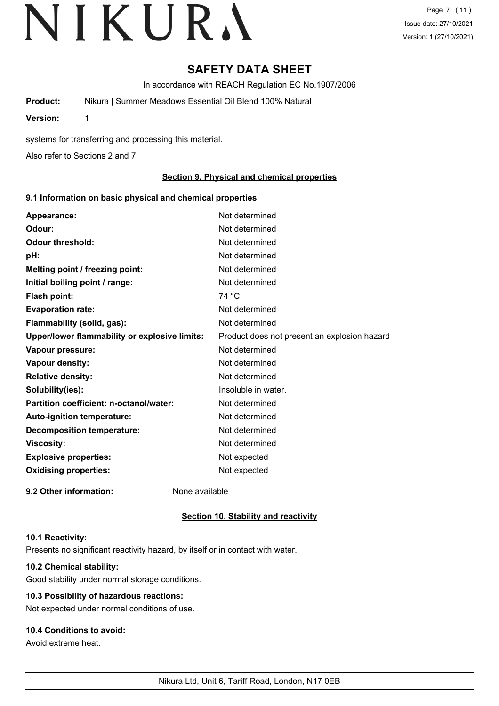Page 7 (11) Issue date: 27/10/2021 Version: 1 (27/10/2021)

## **SAFETY DATA SHEET**

In accordance with REACH Regulation EC No.1907/2006

**Product:** Nikura | Summer Meadows Essential Oil Blend 100% Natural

**Version:** 1

systems for transferring and processing this material.

Also refer to Sections 2 and 7.

#### **Section 9. Physical and chemical properties**

#### **9.1 Information on basic physical and chemical properties**

| Appearance:                                   | Not determined                               |
|-----------------------------------------------|----------------------------------------------|
| Odour:                                        | Not determined                               |
| <b>Odour threshold:</b>                       | Not determined                               |
| pH:                                           | Not determined                               |
| Melting point / freezing point:               | Not determined                               |
| Initial boiling point / range:                | Not determined                               |
| <b>Flash point:</b>                           | 74 °C                                        |
| <b>Evaporation rate:</b>                      | Not determined                               |
| Flammability (solid, gas):                    | Not determined                               |
| Upper/lower flammability or explosive limits: | Product does not present an explosion hazard |
| Vapour pressure:                              | Not determined                               |
| Vapour density:                               | Not determined                               |
| <b>Relative density:</b>                      | Not determined                               |
| Solubility(ies):                              | Insoluble in water.                          |
| Partition coefficient: n-octanol/water:       | Not determined                               |
| Auto-ignition temperature:                    | Not determined                               |
| <b>Decomposition temperature:</b>             | Not determined                               |
| <b>Viscosity:</b>                             | Not determined                               |
| <b>Explosive properties:</b>                  | Not expected                                 |
| <b>Oxidising properties:</b>                  | Not expected                                 |
| 9.2 Other information:                        | None available                               |

#### **Section 10. Stability and reactivity**

#### **10.1 Reactivity:**

Presents no significant reactivity hazard, by itself or in contact with water.

### **10.2 Chemical stability:**

Good stability under normal storage conditions.

### **10.3 Possibility of hazardous reactions:**

Not expected under normal conditions of use.

### **10.4 Conditions to avoid:**

Avoid extreme heat.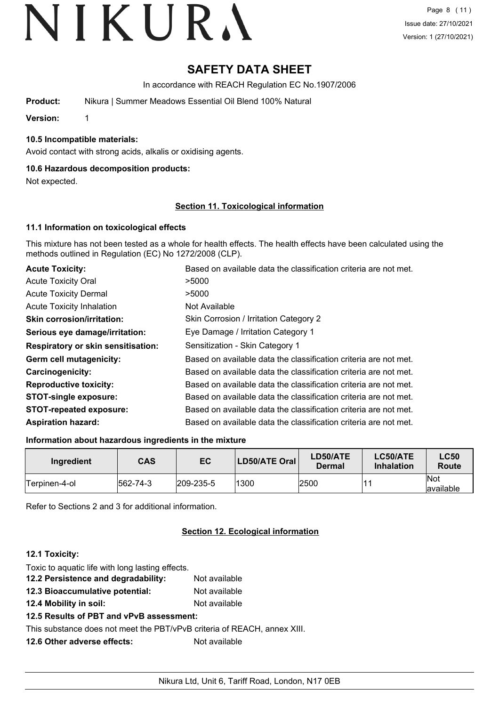## **SAFETY DATA SHEET**

In accordance with REACH Regulation EC No.1907/2006

**Product:** Nikura | Summer Meadows Essential Oil Blend 100% Natural

**Version:** 1

### **10.5 Incompatible materials:**

Avoid contact with strong acids, alkalis or oxidising agents.

### **10.6 Hazardous decomposition products:**

Not expected.

#### **Section 11. Toxicological information**

#### **11.1 Information on toxicological effects**

This mixture has not been tested as a whole for health effects. The health effects have been calculated using the methods outlined in Regulation (EC) No 1272/2008 (CLP).

| <b>Acute Toxicity:</b>                    | Based on available data the classification criteria are not met. |
|-------------------------------------------|------------------------------------------------------------------|
| <b>Acute Toxicity Oral</b>                | >5000                                                            |
| <b>Acute Toxicity Dermal</b>              | >5000                                                            |
| <b>Acute Toxicity Inhalation</b>          | Not Available                                                    |
| <b>Skin corrosion/irritation:</b>         | Skin Corrosion / Irritation Category 2                           |
| Serious eye damage/irritation:            | Eye Damage / Irritation Category 1                               |
| <b>Respiratory or skin sensitisation:</b> | Sensitization - Skin Category 1                                  |
| Germ cell mutagenicity:                   | Based on available data the classification criteria are not met. |
| <b>Carcinogenicity:</b>                   | Based on available data the classification criteria are not met. |
| <b>Reproductive toxicity:</b>             | Based on available data the classification criteria are not met. |
| <b>STOT-single exposure:</b>              | Based on available data the classification criteria are not met. |
| <b>STOT-repeated exposure:</b>            | Based on available data the classification criteria are not met. |
| <b>Aspiration hazard:</b>                 | Based on available data the classification criteria are not met. |

#### **Information about hazardous ingredients in the mixture**

| Ingredient    | <b>CAS</b> | EC                | LD50/ATE Oral | LD50/ATE<br>Dermal | LC50/ATE<br><b>Inhalation</b> | <b>LC50</b><br><b>Route</b> |
|---------------|------------|-------------------|---------------|--------------------|-------------------------------|-----------------------------|
| Terpinen-4-ol | 562-74-3   | $ 209 - 235 - 5 $ | 1300          | 2500               |                               | <b>Not</b><br>available     |

Refer to Sections 2 and 3 for additional information.

#### **Section 12. Ecological information**

#### **12.1 Toxicity:**

| Toxic to aquatic life with long lasting effects.                         |               |
|--------------------------------------------------------------------------|---------------|
| 12.2 Persistence and degradability:                                      | Not available |
| 12.3 Bioaccumulative potential:                                          | Not available |
| 12.4 Mobility in soil:                                                   | Not available |
| 12.5 Results of PBT and vPvB assessment:                                 |               |
| This substance does not meet the PBT/vPvB criteria of REACH, annex XIII. |               |
| 12.6 Other adverse effects:                                              | Not available |
|                                                                          |               |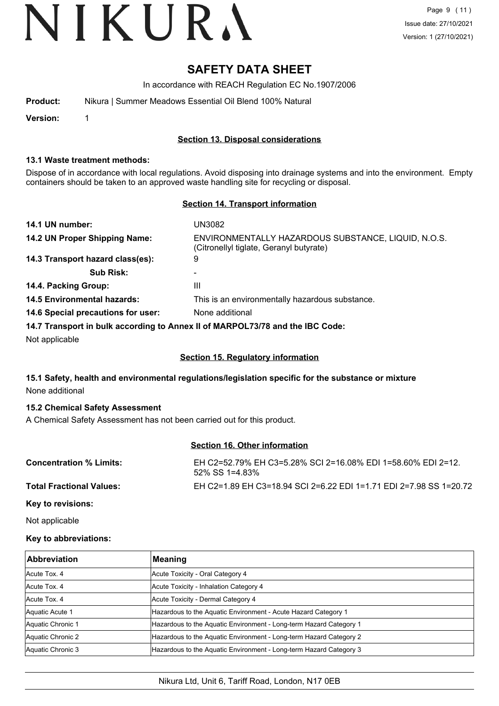## **SAFETY DATA SHEET**

In accordance with REACH Regulation EC No.1907/2006

| Product: | Nikura   Summer Meadows Essential Oil Blend 100% Natural |
|----------|----------------------------------------------------------|
|          |                                                          |

**Version:** 1

#### **Section 13. Disposal considerations**

#### **13.1 Waste treatment methods:**

Dispose of in accordance with local regulations. Avoid disposing into drainage systems and into the environment. Empty containers should be taken to an approved waste handling site for recycling or disposal.

#### **Section 14. Transport information**

| 14.1 UN number:                    | UN3082                                                                                         |
|------------------------------------|------------------------------------------------------------------------------------------------|
| 14.2 UN Proper Shipping Name:      | ENVIRONMENTALLY HAZARDOUS SUBSTANCE, LIQUID, N.O.S.<br>(Citronellyl tiglate, Geranyl butyrate) |
| 14.3 Transport hazard class(es):   | 9                                                                                              |
| <b>Sub Risk:</b>                   | -                                                                                              |
| 14.4. Packing Group:               | Ш                                                                                              |
| 14.5 Environmental hazards:        | This is an environmentally hazardous substance.                                                |
| 14.6 Special precautions for user: | None additional                                                                                |
|                                    | 14.7 Transport in bulk according to Annoy II of MADDOI 73/78 and the IRC Code:                 |

**14.7 Transport in bulk according to Annex II of MARPOL73/78 and the IBC Code:**

Not applicable

#### **Section 15. Regulatory information**

#### **15.1 Safety, health and environmental regulations/legislation specific for the substance or mixture** None additional

#### **15.2 Chemical Safety Assessment**

A Chemical Safety Assessment has not been carried out for this product.

### **Section 16. Other information**

| <b>Concentration % Limits:</b>  | EH C2=52.79% EH C3=5.28% SCI 2=16.08% EDI 1=58.60% EDI 2=12.<br>52% SS 1=4.83% |
|---------------------------------|--------------------------------------------------------------------------------|
| <b>Total Fractional Values:</b> | EH C2=1.89 EH C3=18.94 SCI 2=6.22 EDI 1=1.71 EDI 2=7.98 SS 1=20.72             |
| Key to revisions:               |                                                                                |

Not applicable

#### **Key to abbreviations:**

| <b>Abbreviation</b> | Meaning                                                            |
|---------------------|--------------------------------------------------------------------|
| Acute Tox, 4        | Acute Toxicity - Oral Category 4                                   |
| Acute Tox, 4        | Acute Toxicity - Inhalation Category 4                             |
| Acute Tox, 4        | Acute Toxicity - Dermal Category 4                                 |
| Aquatic Acute 1     | Hazardous to the Aquatic Environment - Acute Hazard Category 1     |
| Aquatic Chronic 1   | Hazardous to the Aquatic Environment - Long-term Hazard Category 1 |
| Aquatic Chronic 2   | Hazardous to the Aquatic Environment - Long-term Hazard Category 2 |
| Aquatic Chronic 3   | Hazardous to the Aquatic Environment - Long-term Hazard Category 3 |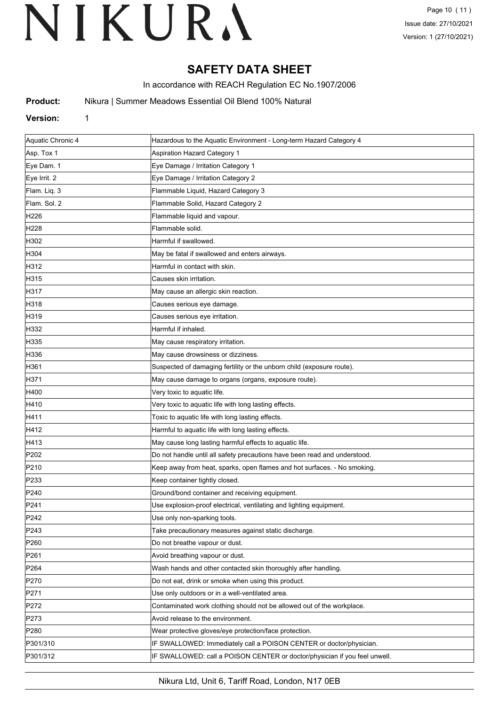## **SAFETY DATA SHEET**

In accordance with REACH Regulation EC No.1907/2006

**Product:** Nikura | Summer Meadows Essential Oil Blend 100% Natural

#### **Version:** 1

| Aquatic Chronic 4 | Hazardous to the Aquatic Environment - Long-term Hazard Category 4         |
|-------------------|----------------------------------------------------------------------------|
| Asp. Tox 1        | Aspiration Hazard Category 1                                               |
| Eye Dam. 1        | Eye Damage / Irritation Category 1                                         |
| Eye Irrit. 2      | Eye Damage / Irritation Category 2                                         |
| Flam. Liq. 3      | Flammable Liquid, Hazard Category 3                                        |
| Flam. Sol. 2      | Flammable Solid, Hazard Category 2                                         |
| H226              | Flammable liquid and vapour.                                               |
| H228              | Flammable solid.                                                           |
| H302              | Harmful if swallowed.                                                      |
| H304              | May be fatal if swallowed and enters airways.                              |
| H312              | Harmful in contact with skin.                                              |
| H315              | Causes skin irritation.                                                    |
| H317              | May cause an allergic skin reaction.                                       |
| H318              | Causes serious eye damage.                                                 |
| H319              | Causes serious eye irritation.                                             |
| H332              | Harmful if inhaled.                                                        |
| H335              | May cause respiratory irritation.                                          |
| H336              | May cause drowsiness or dizziness.                                         |
| H361              | Suspected of damaging fertility or the unborn child (exposure route).      |
| H371              | May cause damage to organs (organs, exposure route).                       |
| H400              | Very toxic to aquatic life.                                                |
| H410              | Very toxic to aquatic life with long lasting effects.                      |
| H411              | Toxic to aquatic life with long lasting effects.                           |
| H412              | Harmful to aquatic life with long lasting effects.                         |
| H413              | May cause long lasting harmful effects to aquatic life.                    |
| P202              | Do not handle until all safety precautions have been read and understood.  |
| P210              | Keep away from heat, sparks, open flames and hot surfaces. - No smoking.   |
| P233              | Keep container tightly closed.                                             |
| P240              | Ground/bond container and receiving equipment.                             |
| P241              | Use explosion-proof electrical, ventilating and lighting equipment.        |
| P242              | Use only non-sparking tools.                                               |
| P243              | Take precautionary measures against static discharge.                      |
| P <sub>260</sub>  | Do not breathe vapour or dust.                                             |
| P <sub>261</sub>  | Avoid breathing vapour or dust.                                            |
| P <sub>264</sub>  | Wash hands and other contacted skin thoroughly after handling.             |
| P270              | Do not eat, drink or smoke when using this product.                        |
| P271              | Use only outdoors or in a well-ventilated area.                            |
| P272              | Contaminated work clothing should not be allowed out of the workplace.     |
| P273              | Avoid release to the environment.                                          |
| P <sub>280</sub>  | Wear protective gloves/eye protection/face protection.                     |
| P301/310          | IF SWALLOWED: Immediately call a POISON CENTER or doctor/physician.        |
| P301/312          | IF SWALLOWED: call a POISON CENTER or doctor/physician if you feel unwell. |